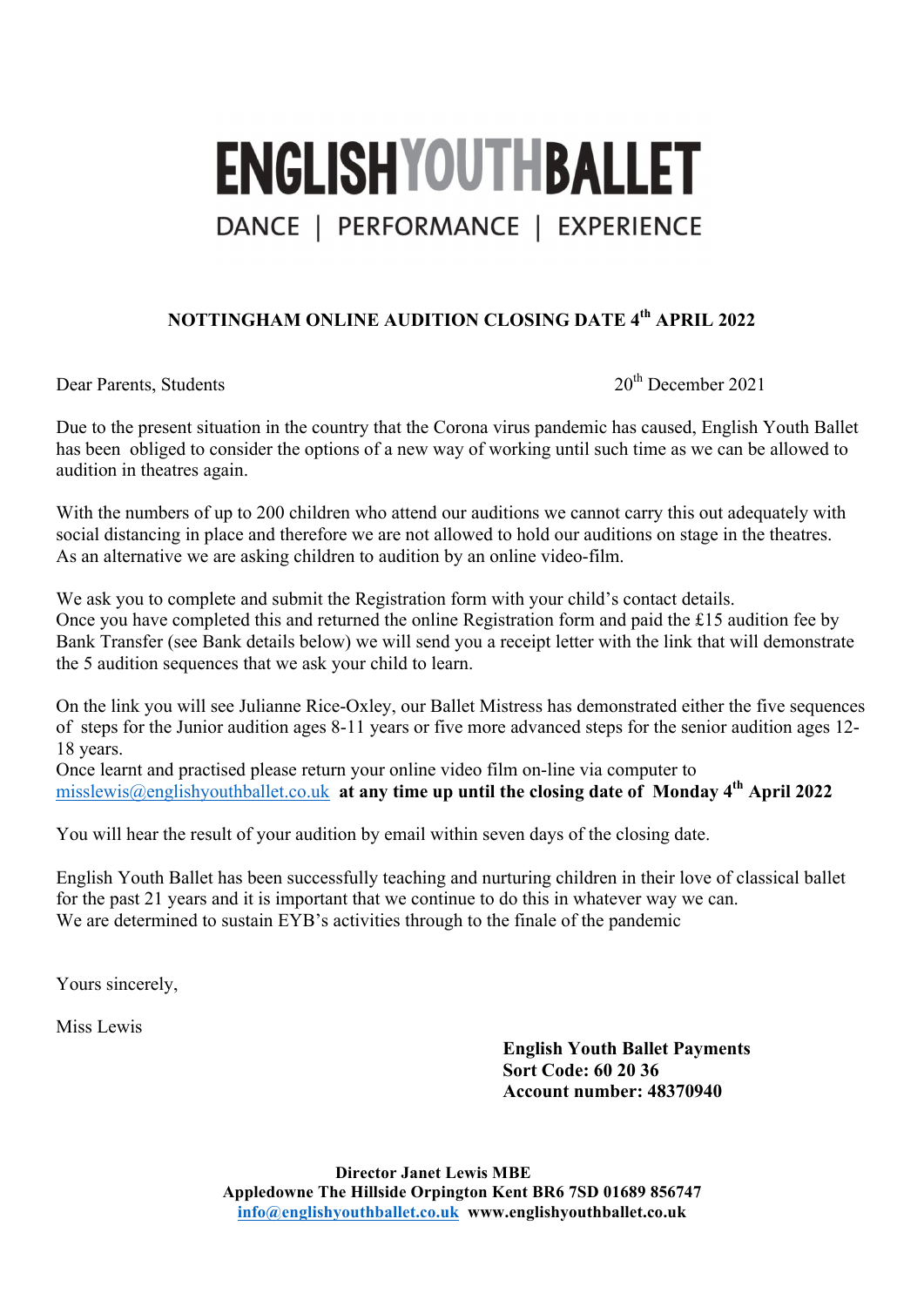# **ENGLISHYOUTHBALLET** DANCE | PERFORMANCE | EXPERIENCE

## **NOTTINGHAM ONLINE AUDITION CLOSING DATE 4th APRIL 2022**

Dear Parents, Students 2021

Due to the present situation in the country that the Corona virus pandemic has caused, English Youth Ballet has been obliged to consider the options of a new way of working until such time as we can be allowed to audition in theatres again.

With the numbers of up to 200 children who attend our auditions we cannot carry this out adequately with social distancing in place and therefore we are not allowed to hold our auditions on stage in the theatres. As an alternative we are asking children to audition by an online video-film.

We ask you to complete and submit the Registration form with your child's contact details. Once you have completed this and returned the online Registration form and paid the £15 audition fee by Bank Transfer (see Bank details below) we will send you a receipt letter with the link that will demonstrate the 5 audition sequences that we ask your child to learn.

On the link you will see Julianne Rice-Oxley, our Ballet Mistress has demonstrated either the five sequences of steps for the Junior audition ages 8-11 years or five more advanced steps for the senior audition ages 12- 18 years.

Once learnt and practised please return your online video film on-line via computer to misslewis@englishyouthballet.co.uk **at any time up until the closing date of Monday 4th April 2022**

You will hear the result of your audition by email within seven days of the closing date.

English Youth Ballet has been successfully teaching and nurturing children in their love of classical ballet for the past 21 years and it is important that we continue to do this in whatever way we can. We are determined to sustain EYB's activities through to the finale of the pandemic

Yours sincerely,

Miss Lewis

**English Youth Ballet Payments Sort Code: 60 20 36 Account number: 48370940**

**Director Janet Lewis MBE Appledowne The Hillside Orpington Kent BR6 7SD 01689 856747 info@englishyouthballet.co.uk www.englishyouthballet.co.uk**